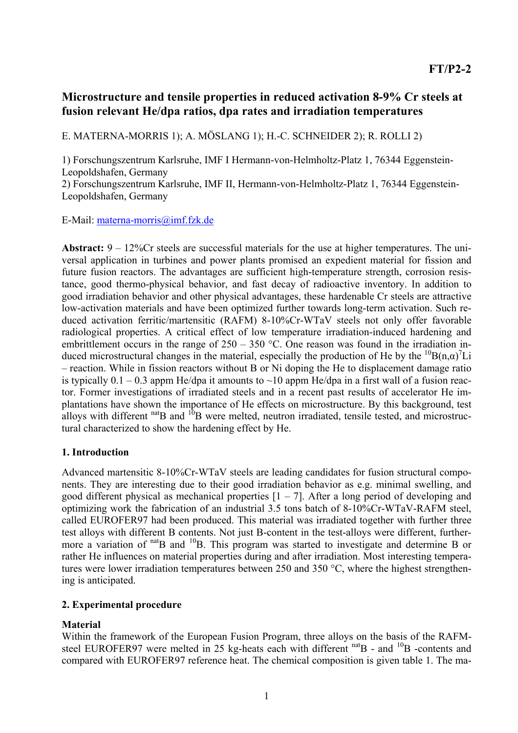# **Microstructure and tensile properties in reduced activation 8-9% Cr steels at fusion relevant He/dpa ratios, dpa rates and irradiation temperatures**

E. MATERNA-MORRIS 1); A. MÖSLANG 1); H.-C. SCHNEIDER 2); R. ROLLI 2)

1) Forschungszentrum Karlsruhe, IMF I Hermann-von-Helmholtz-Platz 1, 76344 Eggenstein-Leopoldshafen, Germany

2) Forschungszentrum Karlsruhe, IMF II, Hermann-von-Helmholtz-Platz 1, 76344 Eggenstein-Leopoldshafen, Germany

E-Mail: materna-morris@imf.fzk.de

**Abstract:** 9 – 12%Cr steels are successful materials for the use at higher temperatures. The universal application in turbines and power plants promised an expedient material for fission and future fusion reactors. The advantages are sufficient high-temperature strength, corrosion resistance, good thermo-physical behavior, and fast decay of radioactive inventory. In addition to good irradiation behavior and other physical advantages, these hardenable Cr steels are attractive low-activation materials and have been optimized further towards long-term activation. Such reduced activation ferritic/martensitic (RAFM) 8-10%Cr-WTaV steels not only offer favorable radiological properties. A critical effect of low temperature irradiation-induced hardening and embrittlement occurs in the range of  $250 - 350$  °C. One reason was found in the irradiation induced microstructural changes in the material, especially the production of He by the  ${}^{10}B(n,\alpha)$ <sup>7</sup>Li – reaction. While in fission reactors without B or Ni doping the He to displacement damage ratio is typically  $0.1 - 0.3$  appm He/dpa it amounts to  $\sim 10$  appm He/dpa in a first wall of a fusion reactor. Former investigations of irradiated steels and in a recent past results of accelerator He implantations have shown the importance of He effects on microstructure. By this background, test alloys with different  $n_{\text{at}}$  and  $n_{\text{B}}$  were melted, neutron irradiated, tensile tested, and microstructural characterized to show the hardening effect by He.

### **1. Introduction**

Advanced martensitic 8-10%Cr-WTaV steels are leading candidates for fusion structural components. They are interesting due to their good irradiation behavior as e.g. minimal swelling, and good different physical as mechanical properties  $[1 - 7]$ . After a long period of developing and optimizing work the fabrication of an industrial 3.5 tons batch of 8-10%Cr-WTaV-RAFM steel, called EUROFER97 had been produced. This material was irradiated together with further three test alloys with different B contents. Not just B-content in the test-alloys were different, furthermore a variation of  $\text{nat}_{\text{B}}$  and  $\text{nat}_{\text{B}}$ . This program was started to investigate and determine B or rather He influences on material properties during and after irradiation. Most interesting temperatures were lower irradiation temperatures between 250 and 350 °C, where the highest strengthening is anticipated.

### **2. Experimental procedure**

## **Material**

Within the framework of the European Fusion Program, three alloys on the basis of the RAFMsteel EUROFER97 were melted in 25 kg-heats each with different  $n$ <sup>nat</sup>B - and  $n^{10}$ B -contents and compared with EUROFER97 reference heat. The chemical composition is given table 1. The ma-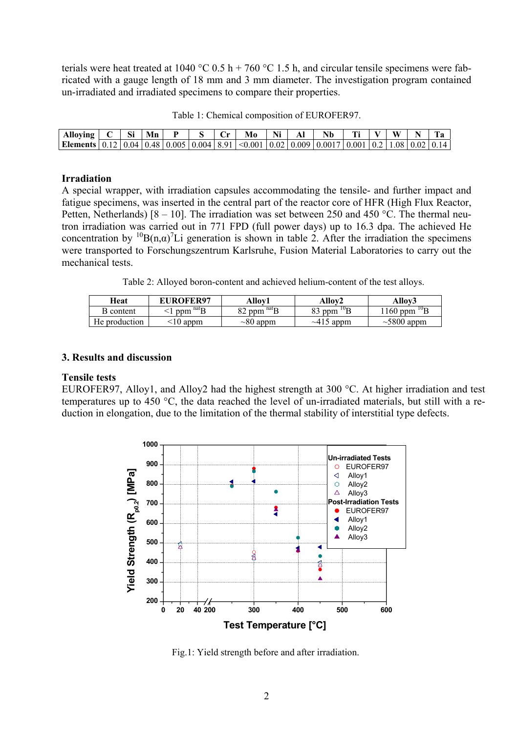terials were heat treated at 1040 °C 0.5 h + 760 °C 1.5 h, and circular tensile specimens were fabricated with a gauge length of 18 mm and 3 mm diameter. The investigation program contained un-irradiated and irradiated specimens to compare their properties.

| Table 1: Chemical composition of EUROFER97. |
|---------------------------------------------|
|---------------------------------------------|

| Alloying $\mid C \mid Si$                                                                                                                                                                                                                                                                                                                          |  | Mn |  | – Cr | Mo | Ni | Nb. |  | W |  |
|----------------------------------------------------------------------------------------------------------------------------------------------------------------------------------------------------------------------------------------------------------------------------------------------------------------------------------------------------|--|----|--|------|----|----|-----|--|---|--|
| <b>Elements</b> $\vert 0.12 \vert 0.04 \vert 0.48 \vert 0.005 \vert 0.004 \vert 8.91 \vert 0.001 \vert 0.02 \vert 0.009 \vert 0.0017 \vert 0.001 \vert 0.2 \vert 1.08 \vert 0.02 \vert 0.14 \vert 0.001 \vert 0.001 \vert 0.001 \vert 0.001 \vert 0.001 \vert 0.001 \vert 0.001 \vert 0.001 \vert 0.001 \vert 0.001 \vert 0.001 \vert 0.001 \vert$ |  |    |  |      |    |    |     |  |   |  |

#### **Irradiation**

A special wrapper, with irradiation capsules accommodating the tensile- and further impact and fatigue specimens, was inserted in the central part of the reactor core of HFR (High Flux Reactor, Petten, Netherlands)  $[8 - 10]$ . The irradiation was set between 250 and 450 °C. The thermal neutron irradiation was carried out in 771 FPD (full power days) up to 16.3 dpa. The achieved He concentration by <sup>10</sup>B(n, $\alpha$ )<sup>7</sup>Li generation is shown in table 2. After the irradiation the specimens were transported to Forschungszentrum Karlsruhe, Fusion Material Laboratories to carry out the mechanical tests.

Table 2: Alloyed boron-content and achieved helium-content of the test alloys.

| Heat          | <b>EUROFER97</b>          | Allov1                    | Allov2              | Allov3            |
|---------------|---------------------------|---------------------------|---------------------|-------------------|
| B content     | $\mathrm{^{nat}B}$<br>ppm | 82 ppm $\mathrm{^{nat}B}$ | $^{10}$ R<br>83 ppm | 1160 ppm $^{10}B$ |
| He production | 10 appm                   | $\sim 80$ appm            | $\sim$ 415 appm     | $\sim$ 5800 appm  |

#### **3. Results and discussion**

#### **Tensile tests**

EUROFER97, Alloy1, and Alloy2 had the highest strength at 300 °C. At higher irradiation and test temperatures up to 450 °C, the data reached the level of un-irradiated materials, but still with a reduction in elongation, due to the limitation of the thermal stability of interstitial type defects.



Fig.1: Yield strength before and after irradiation.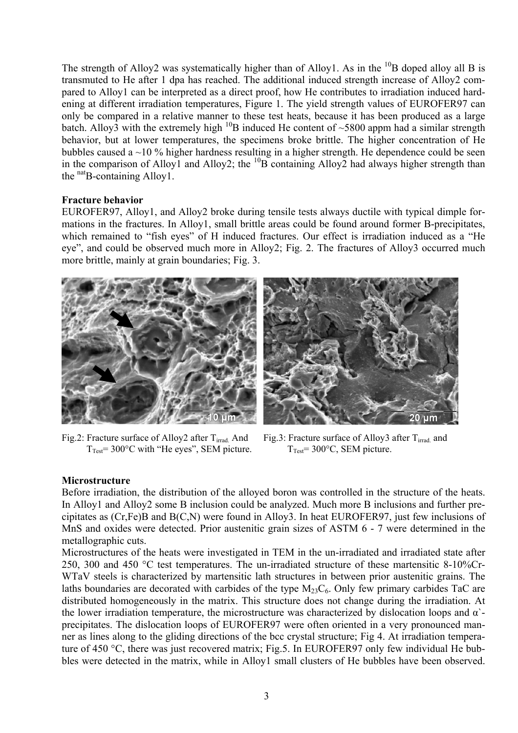The strength of Alloy2 was systematically higher than of Alloy1. As in the  $^{10}B$  doped alloy all B is transmuted to He after 1 dpa has reached. The additional induced strength increase of Alloy2 compared to Alloy1 can be interpreted as a direct proof, how He contributes to irradiation induced hardening at different irradiation temperatures, Figure 1. The yield strength values of EUROFER97 can only be compared in a relative manner to these test heats, because it has been produced as a large batch. Alloy3 with the extremely high  $^{10}B$  induced He content of ~5800 appm had a similar strength behavior, but at lower temperatures, the specimens broke brittle. The higher concentration of He bubbles caused a ~10 % higher hardness resulting in a higher strength. He dependence could be seen in the comparison of Alloy1 and Alloy2; the  ${}^{10}B$  containing Alloy2 had always higher strength than the  $n<sup>nat</sup>B$ -containing Alloy1.

#### **Fracture behavior**

EUROFER97, Alloy1, and Alloy2 broke during tensile tests always ductile with typical dimple formations in the fractures. In Alloy1, small brittle areas could be found around former B-precipitates, which remained to "fish eyes" of H induced fractures. Our effect is irradiation induced as a "He eye", and could be observed much more in Alloy2; Fig. 2. The fractures of Alloy3 occurred much more brittle, mainly at grain boundaries; Fig. 3.





Fig.2: Fracture surface of Alloy2 after  $T<sub>irrad</sub>$  And  $T_{Test}$ = 300 $^{\circ}$ C with "He eyes", SEM picture.

Fig.3: Fracture surface of Alloy3 after  $T<sub>irrad</sub>$  and  $T_{Test}$ = 300 $\degree$ C, SEM picture.

#### **Microstructure**

Before irradiation, the distribution of the alloyed boron was controlled in the structure of the heats. In Alloy1 and Alloy2 some B inclusion could be analyzed. Much more B inclusions and further precipitates as (Cr,Fe)B and B(C,N) were found in Alloy3. In heat EUROFER97, just few inclusions of MnS and oxides were detected. Prior austenitic grain sizes of ASTM 6 - 7 were determined in the metallographic cuts.

Microstructures of the heats were investigated in TEM in the un-irradiated and irradiated state after 250, 300 and 450 °C test temperatures. The un-irradiated structure of these martensitic 8-10%Cr-WTaV steels is characterized by martensitic lath structures in between prior austenitic grains. The laths boundaries are decorated with carbides of the type  $M<sub>23</sub>C<sub>6</sub>$ . Only few primary carbides TaC are distributed homogeneously in the matrix. This structure does not change during the irradiation. At the lower irradiation temperature, the microstructure was characterized by dislocation loops and  $\alpha$ precipitates. The dislocation loops of EUROFER97 were often oriented in a very pronounced manner as lines along to the gliding directions of the bcc crystal structure; Fig 4. At irradiation temperature of 450 °C, there was just recovered matrix; Fig.5. In EUROFER97 only few individual He bubbles were detected in the matrix, while in Alloy1 small clusters of He bubbles have been observed.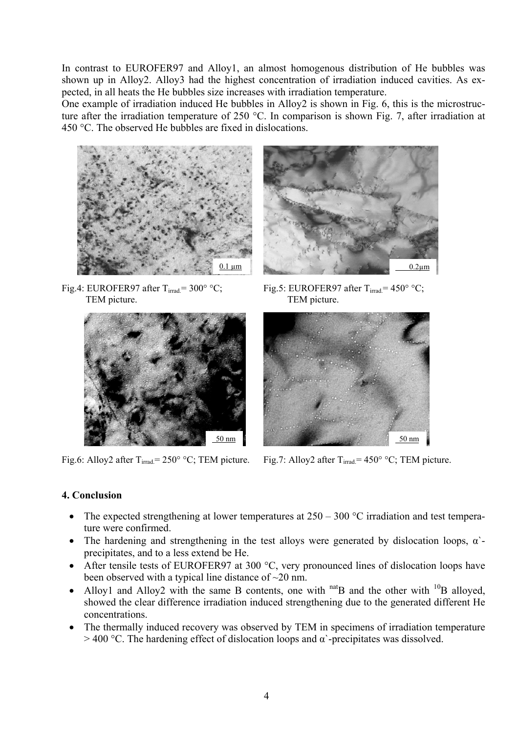In contrast to EUROFER97 and Alloy1, an almost homogenous distribution of He bubbles was shown up in Alloy2. Alloy3 had the highest concentration of irradiation induced cavities. As expected, in all heats the He bubbles size increases with irradiation temperature.

One example of irradiation induced He bubbles in Alloy2 is shown in Fig. 6, this is the microstructure after the irradiation temperature of 250 °C. In comparison is shown Fig. 7, after irradiation at 450 °C. The observed He bubbles are fixed in dislocations.



Fig.4: EUROFER97 after  $T_{irrad}$  = 300° °C; TEM picture. TEM picture.





Fig.5: EUROFER97 after  $T_{irrad} = 450^{\circ}$  °C;



Fig.6: Alloy2 after T<sub>irrad</sub>= 250° °C; TEM picture. Fig.7: Alloy2 after T<sub>irrad</sub>= 450° °C; TEM picture.

## **4. Conclusion**

- The expected strengthening at lower temperatures at  $250 300$  °C irradiation and test temperature were confirmed.
- The hardening and strengthening in the test alloys were generated by dislocation loops,  $\alpha$ precipitates, and to a less extend be He.
- After tensile tests of EUROFER97 at 300 °C, very pronounced lines of dislocation loops have been observed with a typical line distance of  $\sim$ 20 nm.
- Alloy1 and Alloy2 with the same B contents, one with  $n$ <sup>nat</sup>B and the other with  $10B$  alloyed, showed the clear difference irradiation induced strengthening due to the generated different He concentrations.
- The thermally induced recovery was observed by TEM in specimens of irradiation temperature  $>$  400 °C. The hardening effect of dislocation loops and  $\alpha$  -precipitates was dissolved.